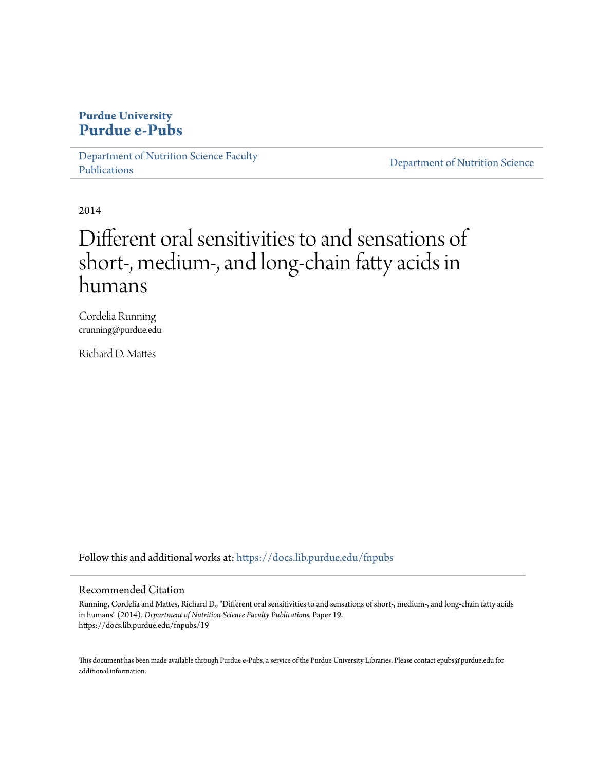# **Purdue University [Purdue e-Pubs](https://docs.lib.purdue.edu?utm_source=docs.lib.purdue.edu%2Ffnpubs%2F19&utm_medium=PDF&utm_campaign=PDFCoverPages)**

[Department of Nutrition Science Faculty](https://docs.lib.purdue.edu/fnpubs?utm_source=docs.lib.purdue.edu%2Ffnpubs%2F19&utm_medium=PDF&utm_campaign=PDFCoverPages) [Publications](https://docs.lib.purdue.edu/fnpubs?utm_source=docs.lib.purdue.edu%2Ffnpubs%2F19&utm_medium=PDF&utm_campaign=PDFCoverPages)

[Department of Nutrition Science](https://docs.lib.purdue.edu/fn?utm_source=docs.lib.purdue.edu%2Ffnpubs%2F19&utm_medium=PDF&utm_campaign=PDFCoverPages)

2014

# Different oral sensitivities to and sensations of short-, medium-, and long-chain fatty acids in humans

Cordelia Running crunning@purdue.edu

Richard D. Mattes

Follow this and additional works at: [https://docs.lib.purdue.edu/fnpubs](https://docs.lib.purdue.edu/fnpubs?utm_source=docs.lib.purdue.edu%2Ffnpubs%2F19&utm_medium=PDF&utm_campaign=PDFCoverPages)

#### Recommended Citation

Running, Cordelia and Mattes, Richard D., "Different oral sensitivities to and sensations of short-, medium-, and long-chain fatty acids in humans" (2014). *Department of Nutrition Science Faculty Publications.* Paper 19. https://docs.lib.purdue.edu/fnpubs/19

This document has been made available through Purdue e-Pubs, a service of the Purdue University Libraries. Please contact epubs@purdue.edu for additional information.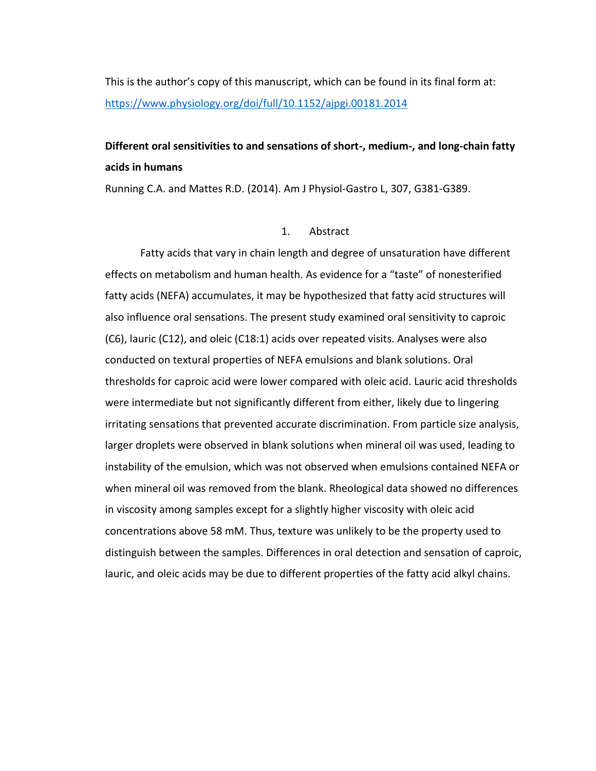This is the author's copy of this manuscript, which can be found in its final form at: <https://www.physiology.org/doi/full/10.1152/ajpgi.00181.2014>

# **Different oral sensitivities to and sensations of short-, medium-, and long-chain fatty acids in humans**

Running C.A. and Mattes R.D. (2014). Am J Physiol-Gastro L, 307, G381-G389.

#### 1. Abstract

Fatty acids that vary in chain length and degree of unsaturation have different effects on metabolism and human health. As evidence for a "taste" of nonesterified fatty acids (NEFA) accumulates, it may be hypothesized that fatty acid structures will also influence oral sensations. The present study examined oral sensitivity to caproic (C6), lauric (C12), and oleic (C18:1) acids over repeated visits. Analyses were also conducted on textural properties of NEFA emulsions and blank solutions. Oral thresholds for caproic acid were lower compared with oleic acid. Lauric acid thresholds were intermediate but not significantly different from either, likely due to lingering irritating sensations that prevented accurate discrimination. From particle size analysis, larger droplets were observed in blank solutions when mineral oil was used, leading to instability of the emulsion, which was not observed when emulsions contained NEFA or when mineral oil was removed from the blank. Rheological data showed no differences in viscosity among samples except for a slightly higher viscosity with oleic acid concentrations above 58 mM. Thus, texture was unlikely to be the property used to distinguish between the samples. Differences in oral detection and sensation of caproic, lauric, and oleic acids may be due to different properties of the fatty acid alkyl chains.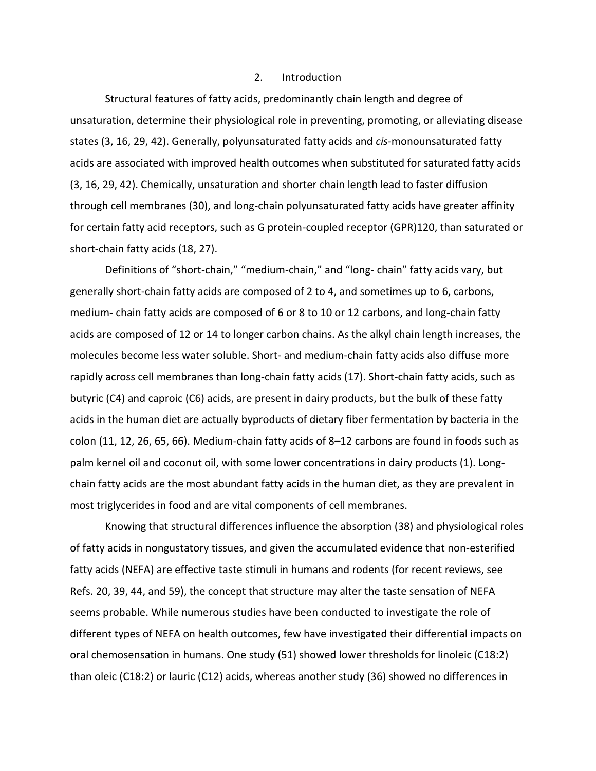#### 2. Introduction

Structural features of fatty acids, predominantly chain length and degree of unsaturation, determine their physiological role in preventing, promoting, or alleviating disease states (3, 16, 29, 42). Generally, polyunsaturated fatty acids and *cis-*monounsaturated fatty acids are associated with improved health outcomes when substituted for saturated fatty acids (3, 16, 29, 42). Chemically, unsaturation and shorter chain length lead to faster diffusion through cell membranes (30), and long-chain polyunsaturated fatty acids have greater affinity for certain fatty acid receptors, such as G protein-coupled receptor (GPR)120, than saturated or short-chain fatty acids (18, 27).

Definitions of "short-chain," "medium-chain," and "long- chain" fatty acids vary, but generally short-chain fatty acids are composed of 2 to 4, and sometimes up to 6, carbons, medium- chain fatty acids are composed of 6 or 8 to 10 or 12 carbons, and long-chain fatty acids are composed of 12 or 14 to longer carbon chains. As the alkyl chain length increases, the molecules become less water soluble. Short- and medium-chain fatty acids also diffuse more rapidly across cell membranes than long-chain fatty acids (17). Short-chain fatty acids, such as butyric (C4) and caproic (C6) acids, are present in dairy products, but the bulk of these fatty acids in the human diet are actually byproducts of dietary fiber fermentation by bacteria in the colon (11, 12, 26, 65, 66). Medium-chain fatty acids of 8–12 carbons are found in foods such as palm kernel oil and coconut oil, with some lower concentrations in dairy products (1). Longchain fatty acids are the most abundant fatty acids in the human diet, as they are prevalent in most triglycerides in food and are vital components of cell membranes.

Knowing that structural differences influence the absorption (38) and physiological roles of fatty acids in nongustatory tissues, and given the accumulated evidence that non-esterified fatty acids (NEFA) are effective taste stimuli in humans and rodents (for recent reviews, see Refs. 20, 39, 44, and 59), the concept that structure may alter the taste sensation of NEFA seems probable. While numerous studies have been conducted to investigate the role of different types of NEFA on health outcomes, few have investigated their differential impacts on oral chemosensation in humans. One study (51) showed lower thresholds for linoleic (C18:2) than oleic (C18:2) or lauric (C12) acids, whereas another study (36) showed no differences in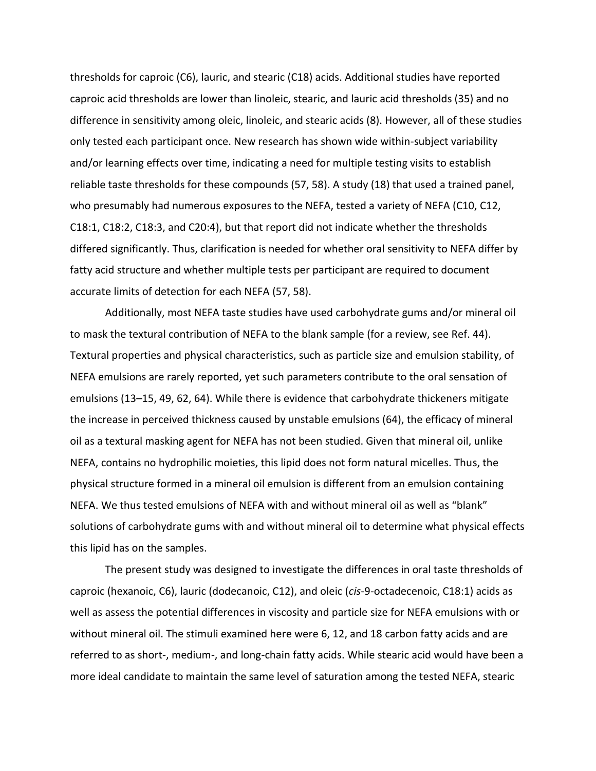thresholds for caproic (C6), lauric, and stearic (C18) acids. Additional studies have reported caproic acid thresholds are lower than linoleic, stearic, and lauric acid thresholds (35) and no difference in sensitivity among oleic, linoleic, and stearic acids (8). However, all of these studies only tested each participant once. New research has shown wide within-subject variability and/or learning effects over time, indicating a need for multiple testing visits to establish reliable taste thresholds for these compounds (57, 58). A study (18) that used a trained panel, who presumably had numerous exposures to the NEFA, tested a variety of NEFA (C10, C12, C18:1, C18:2, C18:3, and C20:4), but that report did not indicate whether the thresholds differed significantly. Thus, clarification is needed for whether oral sensitivity to NEFA differ by fatty acid structure and whether multiple tests per participant are required to document accurate limits of detection for each NEFA (57, 58).

Additionally, most NEFA taste studies have used carbohydrate gums and/or mineral oil to mask the textural contribution of NEFA to the blank sample (for a review, see Ref. 44). Textural properties and physical characteristics, such as particle size and emulsion stability, of NEFA emulsions are rarely reported, yet such parameters contribute to the oral sensation of emulsions (13–15, 49, 62, 64). While there is evidence that carbohydrate thickeners mitigate the increase in perceived thickness caused by unstable emulsions (64), the efficacy of mineral oil as a textural masking agent for NEFA has not been studied. Given that mineral oil, unlike NEFA, contains no hydrophilic moieties, this lipid does not form natural micelles. Thus, the physical structure formed in a mineral oil emulsion is different from an emulsion containing NEFA. We thus tested emulsions of NEFA with and without mineral oil as well as "blank" solutions of carbohydrate gums with and without mineral oil to determine what physical effects this lipid has on the samples.

The present study was designed to investigate the differences in oral taste thresholds of caproic (hexanoic, C6), lauric (dodecanoic, C12), and oleic (*cis*-9-octadecenoic, C18:1) acids as well as assess the potential differences in viscosity and particle size for NEFA emulsions with or without mineral oil. The stimuli examined here were 6, 12, and 18 carbon fatty acids and are referred to as short-, medium-, and long-chain fatty acids. While stearic acid would have been a more ideal candidate to maintain the same level of saturation among the tested NEFA, stearic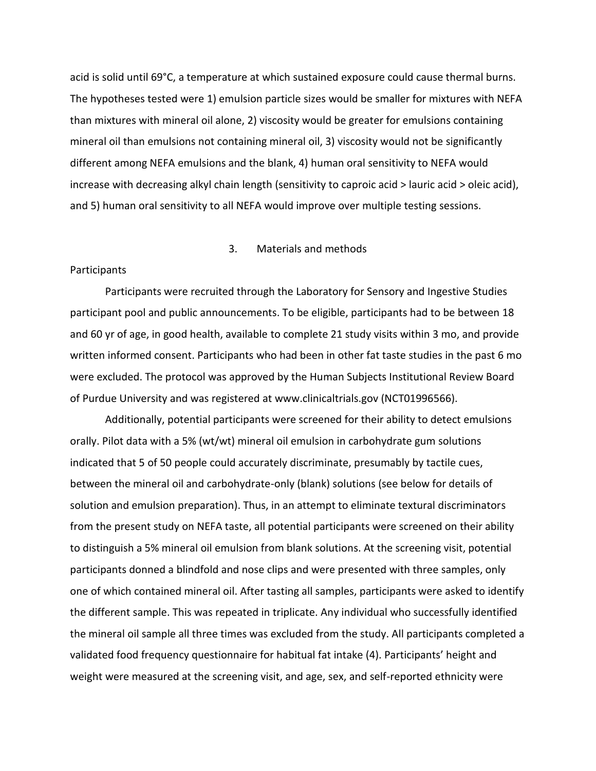acid is solid until 69°C, a temperature at which sustained exposure could cause thermal burns. The hypotheses tested were 1) emulsion particle sizes would be smaller for mixtures with NEFA than mixtures with mineral oil alone, 2) viscosity would be greater for emulsions containing mineral oil than emulsions not containing mineral oil, 3) viscosity would not be significantly different among NEFA emulsions and the blank, 4) human oral sensitivity to NEFA would increase with decreasing alkyl chain length (sensitivity to caproic acid > lauric acid > oleic acid), and 5) human oral sensitivity to all NEFA would improve over multiple testing sessions.

#### 3. Materials and methods

#### **Participants**

Participants were recruited through the Laboratory for Sensory and Ingestive Studies participant pool and public announcements. To be eligible, participants had to be between 18 and 60 yr of age, in good health, available to complete 21 study visits within 3 mo, and provide written informed consent. Participants who had been in other fat taste studies in the past 6 mo were excluded. The protocol was approved by the Human Subjects Institutional Review Board of Purdue University and was registered at www.clinicaltrials.gov (NCT01996566).

Additionally, potential participants were screened for their ability to detect emulsions orally. Pilot data with a 5% (wt/wt) mineral oil emulsion in carbohydrate gum solutions indicated that 5 of 50 people could accurately discriminate, presumably by tactile cues, between the mineral oil and carbohydrate-only (blank) solutions (see below for details of solution and emulsion preparation). Thus, in an attempt to eliminate textural discriminators from the present study on NEFA taste, all potential participants were screened on their ability to distinguish a 5% mineral oil emulsion from blank solutions. At the screening visit, potential participants donned a blindfold and nose clips and were presented with three samples, only one of which contained mineral oil. After tasting all samples, participants were asked to identify the different sample. This was repeated in triplicate. Any individual who successfully identified the mineral oil sample all three times was excluded from the study. All participants completed a validated food frequency questionnaire for habitual fat intake (4). Participants' height and weight were measured at the screening visit, and age, sex, and self-reported ethnicity were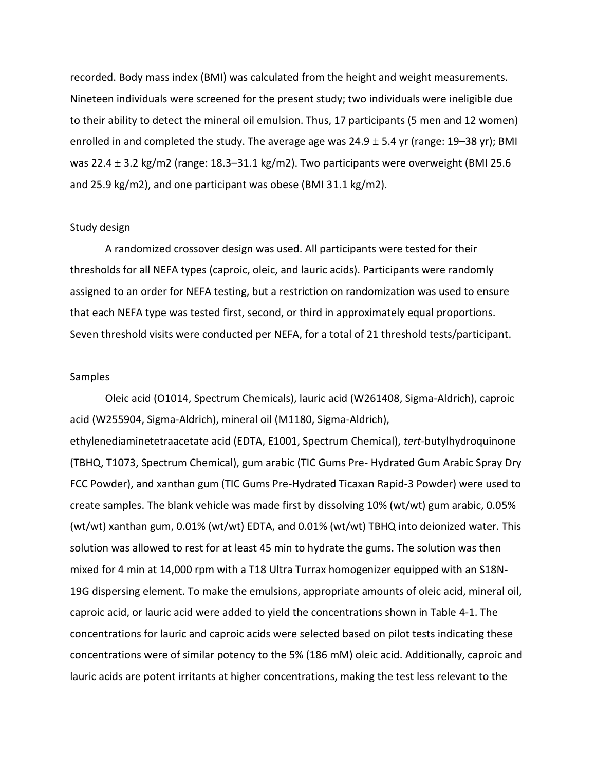recorded. Body mass index (BMI) was calculated from the height and weight measurements. Nineteen individuals were screened for the present study; two individuals were ineligible due to their ability to detect the mineral oil emulsion. Thus, 17 participants (5 men and 12 women) enrolled in and completed the study. The average age was  $24.9 \pm 5.4$  yr (range: 19–38 yr); BMI was 22.4  $\pm$  3.2 kg/m2 (range: 18.3–31.1 kg/m2). Two participants were overweight (BMI 25.6 and 25.9 kg/m2), and one participant was obese (BMI 31.1 kg/m2).

#### Study design

A randomized crossover design was used. All participants were tested for their thresholds for all NEFA types (caproic, oleic, and lauric acids). Participants were randomly assigned to an order for NEFA testing, but a restriction on randomization was used to ensure that each NEFA type was tested first, second, or third in approximately equal proportions. Seven threshold visits were conducted per NEFA, for a total of 21 threshold tests/participant.

### **Samples**

Oleic acid (O1014, Spectrum Chemicals), lauric acid (W261408, Sigma-Aldrich), caproic acid (W255904, Sigma-Aldrich), mineral oil (M1180, Sigma-Aldrich), ethylenediaminetetraacetate acid (EDTA, E1001, Spectrum Chemical), *tert-*butylhydroquinone (TBHQ, T1073, Spectrum Chemical), gum arabic (TIC Gums Pre- Hydrated Gum Arabic Spray Dry FCC Powder), and xanthan gum (TIC Gums Pre-Hydrated Ticaxan Rapid-3 Powder) were used to create samples. The blank vehicle was made first by dissolving 10% (wt/wt) gum arabic, 0.05% (wt/wt) xanthan gum, 0.01% (wt/wt) EDTA, and 0.01% (wt/wt) TBHQ into deionized water. This solution was allowed to rest for at least 45 min to hydrate the gums. The solution was then mixed for 4 min at 14,000 rpm with a T18 Ultra Turrax homogenizer equipped with an S18N-19G dispersing element. To make the emulsions, appropriate amounts of oleic acid, mineral oil, caproic acid, or lauric acid were added to yield the concentrations shown in Table 4-1. The concentrations for lauric and caproic acids were selected based on pilot tests indicating these concentrations were of similar potency to the 5% (186 mM) oleic acid. Additionally, caproic and lauric acids are potent irritants at higher concentrations, making the test less relevant to the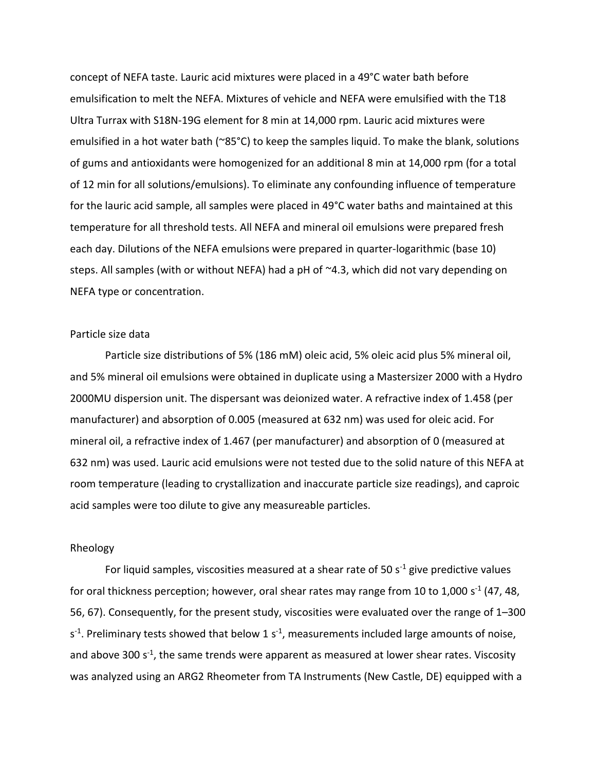concept of NEFA taste. Lauric acid mixtures were placed in a 49°C water bath before emulsification to melt the NEFA. Mixtures of vehicle and NEFA were emulsified with the T18 Ultra Turrax with S18N-19G element for 8 min at 14,000 rpm. Lauric acid mixtures were emulsified in a hot water bath (~85°C) to keep the samples liquid. To make the blank, solutions of gums and antioxidants were homogenized for an additional 8 min at 14,000 rpm (for a total of 12 min for all solutions/emulsions). To eliminate any confounding influence of temperature for the lauric acid sample, all samples were placed in 49°C water baths and maintained at this temperature for all threshold tests. All NEFA and mineral oil emulsions were prepared fresh each day. Dilutions of the NEFA emulsions were prepared in quarter-logarithmic (base 10) steps. All samples (with or without NEFA) had a pH of ~4.3, which did not vary depending on NEFA type or concentration.

# Particle size data

Particle size distributions of 5% (186 mM) oleic acid, 5% oleic acid plus 5% mineral oil, and 5% mineral oil emulsions were obtained in duplicate using a Mastersizer 2000 with a Hydro 2000MU dispersion unit. The dispersant was deionized water. A refractive index of 1.458 (per manufacturer) and absorption of 0.005 (measured at 632 nm) was used for oleic acid. For mineral oil, a refractive index of 1.467 (per manufacturer) and absorption of 0 (measured at 632 nm) was used. Lauric acid emulsions were not tested due to the solid nature of this NEFA at room temperature (leading to crystallization and inaccurate particle size readings), and caproic acid samples were too dilute to give any measureable particles.

## Rheology

For liquid samples, viscosities measured at a shear rate of 50  $s<sup>-1</sup>$  give predictive values for oral thickness perception; however, oral shear rates may range from 10 to 1,000 s<sup>-1</sup> (47, 48, 56, 67). Consequently, for the present study, viscosities were evaluated over the range of 1–300  $s<sup>-1</sup>$ . Preliminary tests showed that below 1  $s<sup>-1</sup>$ , measurements included large amounts of noise, and above 300 s<sup>-1</sup>, the same trends were apparent as measured at lower shear rates. Viscosity was analyzed using an ARG2 Rheometer from TA Instruments (New Castle, DE) equipped with a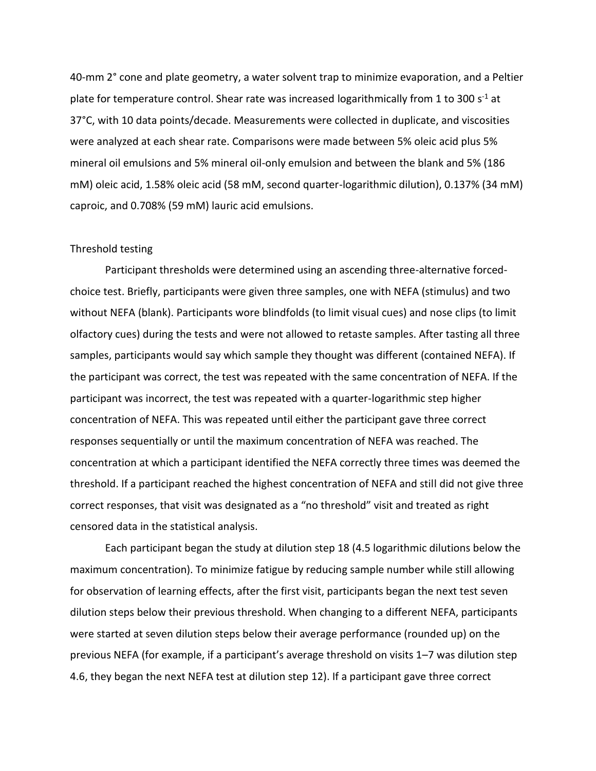40-mm 2° cone and plate geometry, a water solvent trap to minimize evaporation, and a Peltier plate for temperature control. Shear rate was increased logarithmically from 1 to 300 s<sup>-1</sup> at 37°C, with 10 data points/decade. Measurements were collected in duplicate, and viscosities were analyzed at each shear rate. Comparisons were made between 5% oleic acid plus 5% mineral oil emulsions and 5% mineral oil-only emulsion and between the blank and 5% (186 mM) oleic acid, 1.58% oleic acid (58 mM, second quarter-logarithmic dilution), 0.137% (34 mM) caproic, and 0.708% (59 mM) lauric acid emulsions.

#### Threshold testing

Participant thresholds were determined using an ascending three-alternative forcedchoice test. Briefly, participants were given three samples, one with NEFA (stimulus) and two without NEFA (blank). Participants wore blindfolds (to limit visual cues) and nose clips (to limit olfactory cues) during the tests and were not allowed to retaste samples. After tasting all three samples, participants would say which sample they thought was different (contained NEFA). If the participant was correct, the test was repeated with the same concentration of NEFA. If the participant was incorrect, the test was repeated with a quarter-logarithmic step higher concentration of NEFA. This was repeated until either the participant gave three correct responses sequentially or until the maximum concentration of NEFA was reached. The concentration at which a participant identified the NEFA correctly three times was deemed the threshold. If a participant reached the highest concentration of NEFA and still did not give three correct responses, that visit was designated as a "no threshold" visit and treated as right censored data in the statistical analysis.

Each participant began the study at dilution step 18 (4.5 logarithmic dilutions below the maximum concentration). To minimize fatigue by reducing sample number while still allowing for observation of learning effects, after the first visit, participants began the next test seven dilution steps below their previous threshold. When changing to a different NEFA, participants were started at seven dilution steps below their average performance (rounded up) on the previous NEFA (for example, if a participant's average threshold on visits 1–7 was dilution step 4.6, they began the next NEFA test at dilution step 12). If a participant gave three correct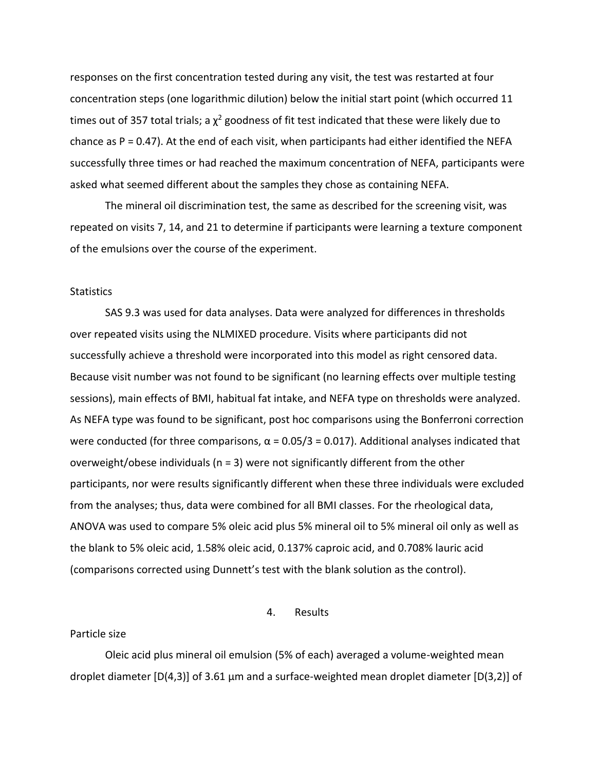responses on the first concentration tested during any visit, the test was restarted at four concentration steps (one logarithmic dilution) below the initial start point (which occurred 11 times out of 357 total trials; a  $\chi^2$  goodness of fit test indicated that these were likely due to chance as  $P = 0.47$ ). At the end of each visit, when participants had either identified the NEFA successfully three times or had reached the maximum concentration of NEFA, participants were asked what seemed different about the samples they chose as containing NEFA.

The mineral oil discrimination test, the same as described for the screening visit, was repeated on visits 7, 14, and 21 to determine if participants were learning a texture component of the emulsions over the course of the experiment.

#### **Statistics**

SAS 9.3 was used for data analyses. Data were analyzed for differences in thresholds over repeated visits using the NLMIXED procedure. Visits where participants did not successfully achieve a threshold were incorporated into this model as right censored data. Because visit number was not found to be significant (no learning effects over multiple testing sessions), main effects of BMI, habitual fat intake, and NEFA type on thresholds were analyzed. As NEFA type was found to be significant, post hoc comparisons using the Bonferroni correction were conducted (for three comparisons,  $\alpha$  = 0.05/3 = 0.017). Additional analyses indicated that overweight/obese individuals ( $n = 3$ ) were not significantly different from the other participants, nor were results significantly different when these three individuals were excluded from the analyses; thus, data were combined for all BMI classes. For the rheological data, ANOVA was used to compare 5% oleic acid plus 5% mineral oil to 5% mineral oil only as well as the blank to 5% oleic acid, 1.58% oleic acid, 0.137% caproic acid, and 0.708% lauric acid (comparisons corrected using Dunnett's test with the blank solution as the control).

## 4. Results

#### Particle size

Oleic acid plus mineral oil emulsion (5% of each) averaged a volume-weighted mean droplet diameter [D(4,3)] of 3.61 μm and a surface-weighted mean droplet diameter [D(3,2)] of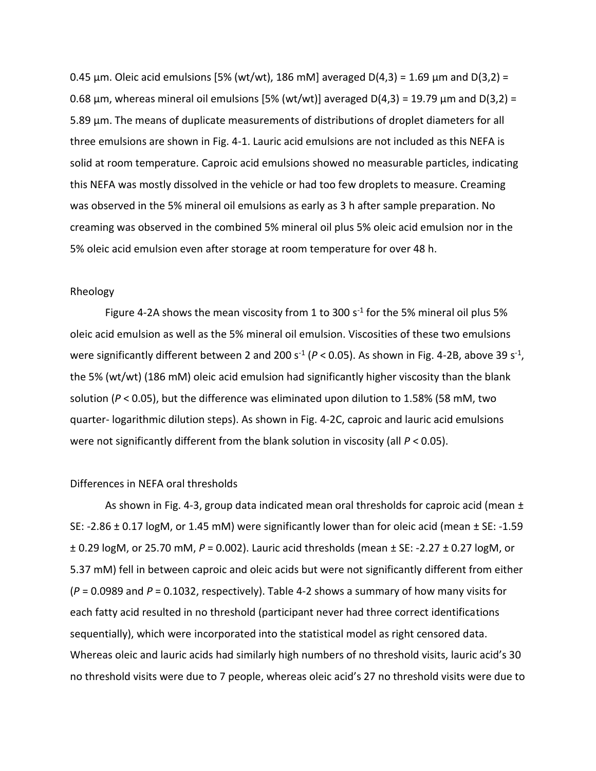0.45 μm. Oleic acid emulsions [5% (wt/wt), 186 mM] averaged D(4,3) = 1.69 μm and D(3,2) = 0.68 μm, whereas mineral oil emulsions [5% (wt/wt)] averaged  $D(4,3) = 19.79$  μm and  $D(3,2) =$ 5.89 μm. The means of duplicate measurements of distributions of droplet diameters for all three emulsions are shown in Fig. 4-1. Lauric acid emulsions are not included as this NEFA is solid at room temperature. Caproic acid emulsions showed no measurable particles, indicating this NEFA was mostly dissolved in the vehicle or had too few droplets to measure. Creaming was observed in the 5% mineral oil emulsions as early as 3 h after sample preparation. No creaming was observed in the combined 5% mineral oil plus 5% oleic acid emulsion nor in the 5% oleic acid emulsion even after storage at room temperature for over 48 h.

# Rheology

Figure 4-2A shows the mean viscosity from 1 to 300  $s<sup>-1</sup>$  for the 5% mineral oil plus 5% oleic acid emulsion as well as the 5% mineral oil emulsion. Viscosities of these two emulsions were significantly different between 2 and 200 s<sup>-1</sup> (P < 0.05). As shown in Fig. 4-2B, above 39 s<sup>-1</sup>, the 5% (wt/wt) (186 mM) oleic acid emulsion had significantly higher viscosity than the blank solution (*P* < 0.05), but the difference was eliminated upon dilution to 1.58% (58 mM, two quarter- logarithmic dilution steps). As shown in Fig. 4-2C, caproic and lauric acid emulsions were not significantly different from the blank solution in viscosity (all *P* < 0.05).

#### Differences in NEFA oral thresholds

As shown in Fig. 4-3, group data indicated mean oral thresholds for caproic acid (mean  $\pm$ SE: -2.86 ± 0.17 logM, or 1.45 mM) were significantly lower than for oleic acid (mean ± SE: -1.59 ± 0.29 logM, or 25.70 mM, *P* = 0.002). Lauric acid thresholds (mean ± SE: -2.27 ± 0.27 logM, or 5.37 mM) fell in between caproic and oleic acids but were not significantly different from either (*P* = 0.0989 and *P* = 0.1032, respectively). Table 4-2 shows a summary of how many visits for each fatty acid resulted in no threshold (participant never had three correct identifications sequentially), which were incorporated into the statistical model as right censored data. Whereas oleic and lauric acids had similarly high numbers of no threshold visits, lauric acid's 30 no threshold visits were due to 7 people, whereas oleic acid's 27 no threshold visits were due to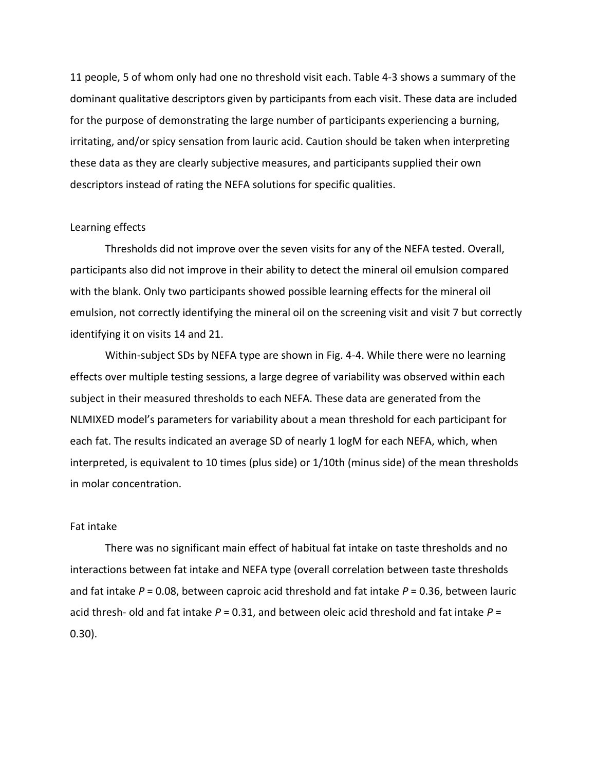11 people, 5 of whom only had one no threshold visit each. Table 4-3 shows a summary of the dominant qualitative descriptors given by participants from each visit. These data are included for the purpose of demonstrating the large number of participants experiencing a burning, irritating, and/or spicy sensation from lauric acid. Caution should be taken when interpreting these data as they are clearly subjective measures, and participants supplied their own descriptors instead of rating the NEFA solutions for specific qualities.

## Learning effects

Thresholds did not improve over the seven visits for any of the NEFA tested. Overall, participants also did not improve in their ability to detect the mineral oil emulsion compared with the blank. Only two participants showed possible learning effects for the mineral oil emulsion, not correctly identifying the mineral oil on the screening visit and visit 7 but correctly identifying it on visits 14 and 21.

Within-subject SDs by NEFA type are shown in Fig. 4-4. While there were no learning effects over multiple testing sessions, a large degree of variability was observed within each subject in their measured thresholds to each NEFA. These data are generated from the NLMIXED model's parameters for variability about a mean threshold for each participant for each fat. The results indicated an average SD of nearly 1 logM for each NEFA, which, when interpreted, is equivalent to 10 times (plus side) or 1/10th (minus side) of the mean thresholds in molar concentration.

#### Fat intake

There was no significant main effect of habitual fat intake on taste thresholds and no interactions between fat intake and NEFA type (overall correlation between taste thresholds and fat intake *P* = 0.08, between caproic acid threshold and fat intake *P* = 0.36, between lauric acid thresh- old and fat intake *P* = 0.31, and between oleic acid threshold and fat intake *P* = 0.30).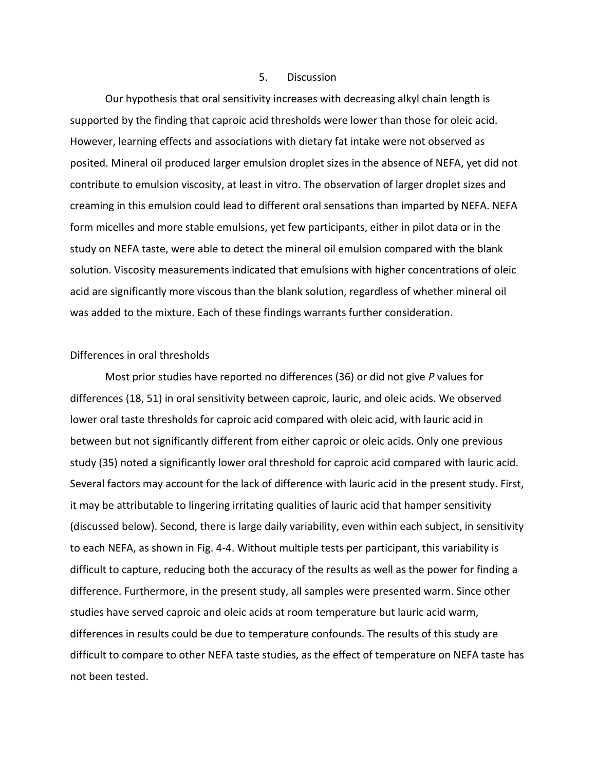#### 5. Discussion

Our hypothesis that oral sensitivity increases with decreasing alkyl chain length is supported by the finding that caproic acid thresholds were lower than those for oleic acid. However, learning effects and associations with dietary fat intake were not observed as posited. Mineral oil produced larger emulsion droplet sizes in the absence of NEFA, yet did not contribute to emulsion viscosity, at least in vitro. The observation of larger droplet sizes and creaming in this emulsion could lead to different oral sensations than imparted by NEFA. NEFA form micelles and more stable emulsions, yet few participants, either in pilot data or in the study on NEFA taste, were able to detect the mineral oil emulsion compared with the blank solution. Viscosity measurements indicated that emulsions with higher concentrations of oleic acid are significantly more viscous than the blank solution, regardless of whether mineral oil was added to the mixture. Each of these findings warrants further consideration.

### Differences in oral thresholds

Most prior studies have reported no differences (36) or did not give *P* values for differences (18, 51) in oral sensitivity between caproic, lauric, and oleic acids. We observed lower oral taste thresholds for caproic acid compared with oleic acid, with lauric acid in between but not significantly different from either caproic or oleic acids. Only one previous study (35) noted a significantly lower oral threshold for caproic acid compared with lauric acid. Several factors may account for the lack of difference with lauric acid in the present study. First, it may be attributable to lingering irritating qualities of lauric acid that hamper sensitivity (discussed below). Second, there is large daily variability, even within each subject, in sensitivity to each NEFA, as shown in Fig. 4-4. Without multiple tests per participant, this variability is difficult to capture, reducing both the accuracy of the results as well as the power for finding a difference. Furthermore, in the present study, all samples were presented warm. Since other studies have served caproic and oleic acids at room temperature but lauric acid warm, differences in results could be due to temperature confounds. The results of this study are difficult to compare to other NEFA taste studies, as the effect of temperature on NEFA taste has not been tested.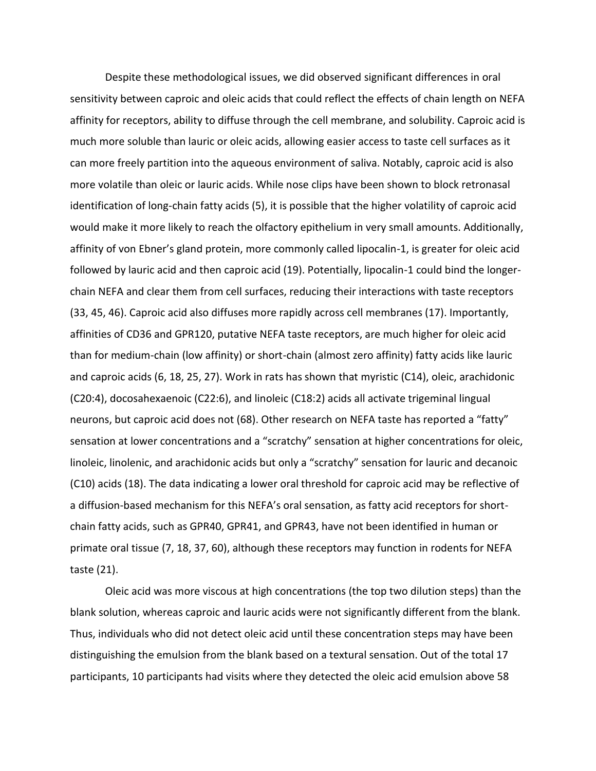Despite these methodological issues, we did observed significant differences in oral sensitivity between caproic and oleic acids that could reflect the effects of chain length on NEFA affinity for receptors, ability to diffuse through the cell membrane, and solubility. Caproic acid is much more soluble than lauric or oleic acids, allowing easier access to taste cell surfaces as it can more freely partition into the aqueous environment of saliva. Notably, caproic acid is also more volatile than oleic or lauric acids. While nose clips have been shown to block retronasal identification of long-chain fatty acids (5), it is possible that the higher volatility of caproic acid would make it more likely to reach the olfactory epithelium in very small amounts. Additionally, affinity of von Ebner's gland protein, more commonly called lipocalin-1, is greater for oleic acid followed by lauric acid and then caproic acid (19). Potentially, lipocalin-1 could bind the longerchain NEFA and clear them from cell surfaces, reducing their interactions with taste receptors (33, 45, 46). Caproic acid also diffuses more rapidly across cell membranes (17). Importantly, affinities of CD36 and GPR120, putative NEFA taste receptors, are much higher for oleic acid than for medium-chain (low affinity) or short-chain (almost zero affinity) fatty acids like lauric and caproic acids (6, 18, 25, 27). Work in rats has shown that myristic (C14), oleic, arachidonic (C20:4), docosahexaenoic (C22:6), and linoleic (C18:2) acids all activate trigeminal lingual neurons, but caproic acid does not (68). Other research on NEFA taste has reported a "fatty" sensation at lower concentrations and a "scratchy" sensation at higher concentrations for oleic, linoleic, linolenic, and arachidonic acids but only a "scratchy" sensation for lauric and decanoic (C10) acids (18). The data indicating a lower oral threshold for caproic acid may be reflective of a diffusion-based mechanism for this NEFA's oral sensation, as fatty acid receptors for shortchain fatty acids, such as GPR40, GPR41, and GPR43, have not been identified in human or primate oral tissue (7, 18, 37, 60), although these receptors may function in rodents for NEFA taste (21).

Oleic acid was more viscous at high concentrations (the top two dilution steps) than the blank solution, whereas caproic and lauric acids were not significantly different from the blank. Thus, individuals who did not detect oleic acid until these concentration steps may have been distinguishing the emulsion from the blank based on a textural sensation. Out of the total 17 participants, 10 participants had visits where they detected the oleic acid emulsion above 58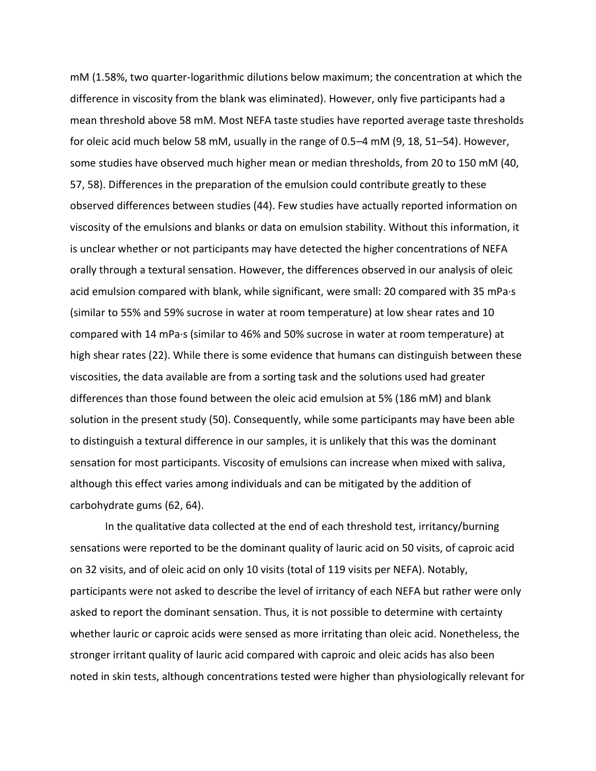mM (1.58%, two quarter-logarithmic dilutions below maximum; the concentration at which the difference in viscosity from the blank was eliminated). However, only five participants had a mean threshold above 58 mM. Most NEFA taste studies have reported average taste thresholds for oleic acid much below 58 mM, usually in the range of 0.5–4 mM (9, 18, 51–54). However, some studies have observed much higher mean or median thresholds, from 20 to 150 mM (40, 57, 58). Differences in the preparation of the emulsion could contribute greatly to these observed differences between studies (44). Few studies have actually reported information on viscosity of the emulsions and blanks or data on emulsion stability. Without this information, it is unclear whether or not participants may have detected the higher concentrations of NEFA orally through a textural sensation. However, the differences observed in our analysis of oleic acid emulsion compared with blank, while significant, were small: 20 compared with 35 mPa·s (similar to 55% and 59% sucrose in water at room temperature) at low shear rates and 10 compared with 14 mPa·s (similar to 46% and 50% sucrose in water at room temperature) at high shear rates (22). While there is some evidence that humans can distinguish between these viscosities, the data available are from a sorting task and the solutions used had greater differences than those found between the oleic acid emulsion at 5% (186 mM) and blank solution in the present study (50). Consequently, while some participants may have been able to distinguish a textural difference in our samples, it is unlikely that this was the dominant sensation for most participants. Viscosity of emulsions can increase when mixed with saliva, although this effect varies among individuals and can be mitigated by the addition of carbohydrate gums (62, 64).

In the qualitative data collected at the end of each threshold test, irritancy/burning sensations were reported to be the dominant quality of lauric acid on 50 visits, of caproic acid on 32 visits, and of oleic acid on only 10 visits (total of 119 visits per NEFA). Notably, participants were not asked to describe the level of irritancy of each NEFA but rather were only asked to report the dominant sensation. Thus, it is not possible to determine with certainty whether lauric or caproic acids were sensed as more irritating than oleic acid. Nonetheless, the stronger irritant quality of lauric acid compared with caproic and oleic acids has also been noted in skin tests, although concentrations tested were higher than physiologically relevant for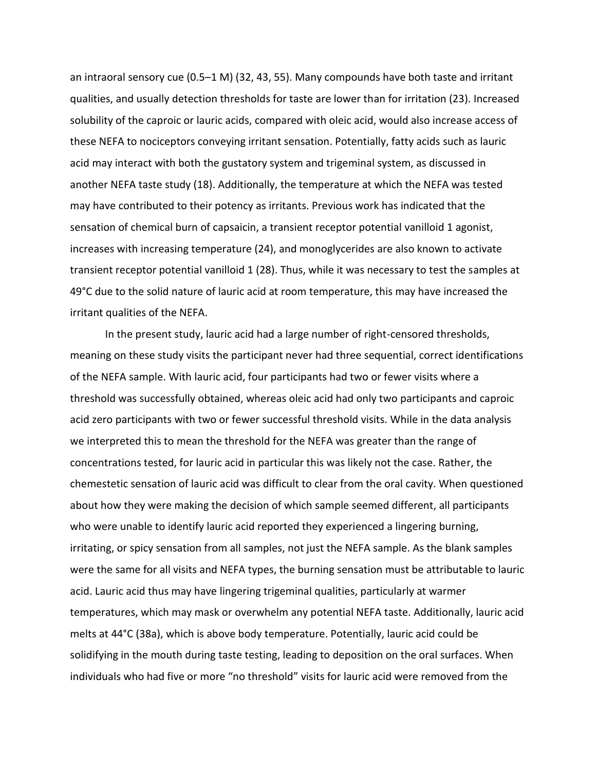an intraoral sensory cue (0.5–1 M) (32, 43, 55). Many compounds have both taste and irritant qualities, and usually detection thresholds for taste are lower than for irritation (23). Increased solubility of the caproic or lauric acids, compared with oleic acid, would also increase access of these NEFA to nociceptors conveying irritant sensation. Potentially, fatty acids such as lauric acid may interact with both the gustatory system and trigeminal system, as discussed in another NEFA taste study (18). Additionally, the temperature at which the NEFA was tested may have contributed to their potency as irritants. Previous work has indicated that the sensation of chemical burn of capsaicin, a transient receptor potential vanilloid 1 agonist, increases with increasing temperature (24), and monoglycerides are also known to activate transient receptor potential vanilloid 1 (28). Thus, while it was necessary to test the samples at 49°C due to the solid nature of lauric acid at room temperature, this may have increased the irritant qualities of the NEFA.

In the present study, lauric acid had a large number of right-censored thresholds, meaning on these study visits the participant never had three sequential, correct identifications of the NEFA sample. With lauric acid, four participants had two or fewer visits where a threshold was successfully obtained, whereas oleic acid had only two participants and caproic acid zero participants with two or fewer successful threshold visits. While in the data analysis we interpreted this to mean the threshold for the NEFA was greater than the range of concentrations tested, for lauric acid in particular this was likely not the case. Rather, the chemestetic sensation of lauric acid was difficult to clear from the oral cavity. When questioned about how they were making the decision of which sample seemed different, all participants who were unable to identify lauric acid reported they experienced a lingering burning, irritating, or spicy sensation from all samples, not just the NEFA sample. As the blank samples were the same for all visits and NEFA types, the burning sensation must be attributable to lauric acid. Lauric acid thus may have lingering trigeminal qualities, particularly at warmer temperatures, which may mask or overwhelm any potential NEFA taste. Additionally, lauric acid melts at 44°C (38a), which is above body temperature. Potentially, lauric acid could be solidifying in the mouth during taste testing, leading to deposition on the oral surfaces. When individuals who had five or more "no threshold" visits for lauric acid were removed from the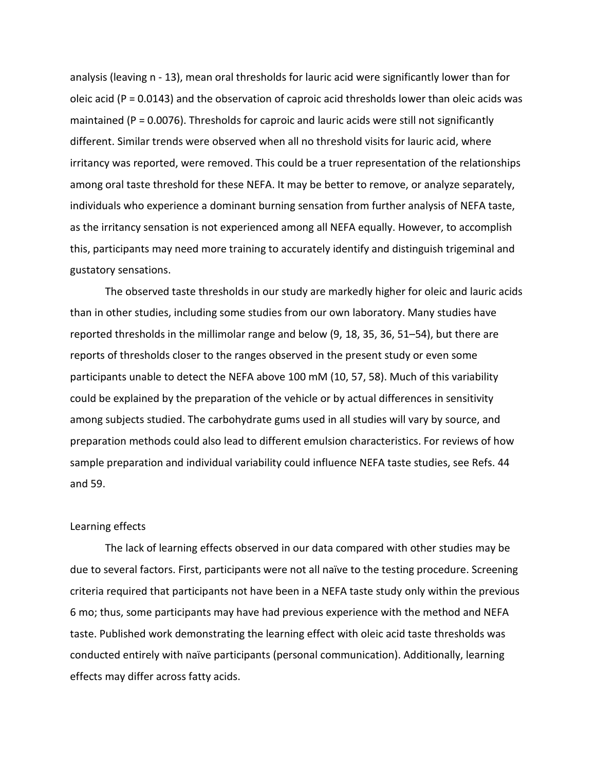analysis (leaving n - 13), mean oral thresholds for lauric acid were significantly lower than for oleic acid (P = 0.0143) and the observation of caproic acid thresholds lower than oleic acids was maintained ( $P = 0.0076$ ). Thresholds for caproic and lauric acids were still not significantly different. Similar trends were observed when all no threshold visits for lauric acid, where irritancy was reported, were removed. This could be a truer representation of the relationships among oral taste threshold for these NEFA. It may be better to remove, or analyze separately, individuals who experience a dominant burning sensation from further analysis of NEFA taste, as the irritancy sensation is not experienced among all NEFA equally. However, to accomplish this, participants may need more training to accurately identify and distinguish trigeminal and gustatory sensations.

The observed taste thresholds in our study are markedly higher for oleic and lauric acids than in other studies, including some studies from our own laboratory. Many studies have reported thresholds in the millimolar range and below (9, 18, 35, 36, 51–54), but there are reports of thresholds closer to the ranges observed in the present study or even some participants unable to detect the NEFA above 100 mM (10, 57, 58). Much of this variability could be explained by the preparation of the vehicle or by actual differences in sensitivity among subjects studied. The carbohydrate gums used in all studies will vary by source, and preparation methods could also lead to different emulsion characteristics. For reviews of how sample preparation and individual variability could influence NEFA taste studies, see Refs. 44 and 59.

#### Learning effects

The lack of learning effects observed in our data compared with other studies may be due to several factors. First, participants were not all naïve to the testing procedure. Screening criteria required that participants not have been in a NEFA taste study only within the previous 6 mo; thus, some participants may have had previous experience with the method and NEFA taste. Published work demonstrating the learning effect with oleic acid taste thresholds was conducted entirely with naïve participants (personal communication). Additionally, learning effects may differ across fatty acids.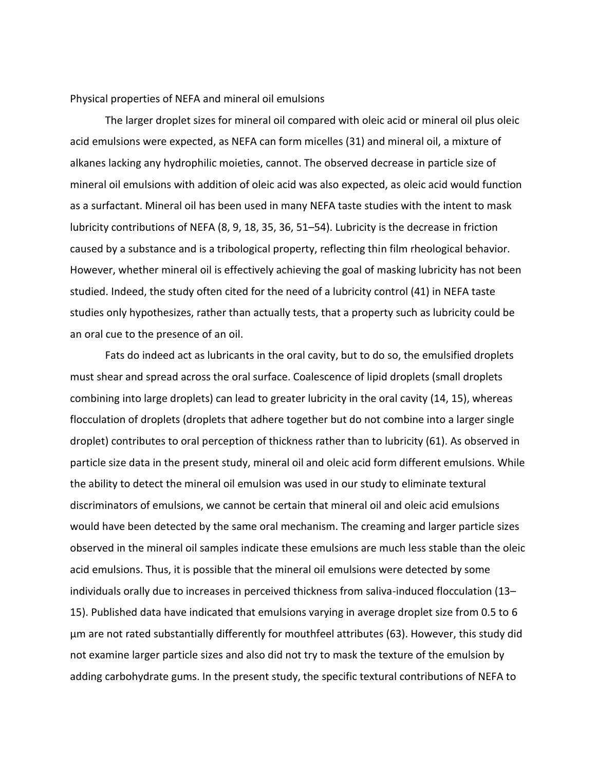Physical properties of NEFA and mineral oil emulsions

The larger droplet sizes for mineral oil compared with oleic acid or mineral oil plus oleic acid emulsions were expected, as NEFA can form micelles (31) and mineral oil, a mixture of alkanes lacking any hydrophilic moieties, cannot. The observed decrease in particle size of mineral oil emulsions with addition of oleic acid was also expected, as oleic acid would function as a surfactant. Mineral oil has been used in many NEFA taste studies with the intent to mask lubricity contributions of NEFA (8, 9, 18, 35, 36, 51–54). Lubricity is the decrease in friction caused by a substance and is a tribological property, reflecting thin film rheological behavior. However, whether mineral oil is effectively achieving the goal of masking lubricity has not been studied. Indeed, the study often cited for the need of a lubricity control (41) in NEFA taste studies only hypothesizes, rather than actually tests, that a property such as lubricity could be an oral cue to the presence of an oil.

Fats do indeed act as lubricants in the oral cavity, but to do so, the emulsified droplets must shear and spread across the oral surface. Coalescence of lipid droplets (small droplets combining into large droplets) can lead to greater lubricity in the oral cavity (14, 15), whereas flocculation of droplets (droplets that adhere together but do not combine into a larger single droplet) contributes to oral perception of thickness rather than to lubricity (61). As observed in particle size data in the present study, mineral oil and oleic acid form different emulsions. While the ability to detect the mineral oil emulsion was used in our study to eliminate textural discriminators of emulsions, we cannot be certain that mineral oil and oleic acid emulsions would have been detected by the same oral mechanism. The creaming and larger particle sizes observed in the mineral oil samples indicate these emulsions are much less stable than the oleic acid emulsions. Thus, it is possible that the mineral oil emulsions were detected by some individuals orally due to increases in perceived thickness from saliva-induced flocculation (13– 15). Published data have indicated that emulsions varying in average droplet size from 0.5 to 6 μm are not rated substantially differently for mouthfeel attributes (63). However, this study did not examine larger particle sizes and also did not try to mask the texture of the emulsion by adding carbohydrate gums. In the present study, the specific textural contributions of NEFA to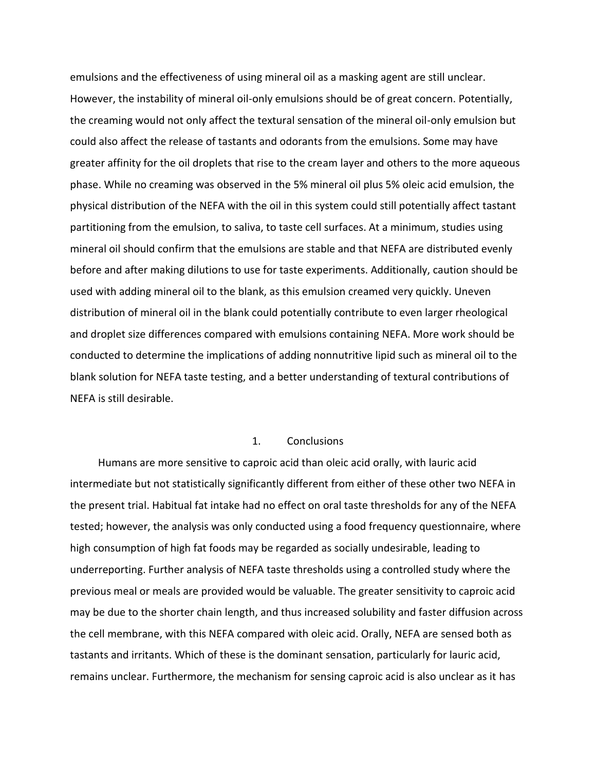emulsions and the effectiveness of using mineral oil as a masking agent are still unclear. However, the instability of mineral oil-only emulsions should be of great concern. Potentially, the creaming would not only affect the textural sensation of the mineral oil-only emulsion but could also affect the release of tastants and odorants from the emulsions. Some may have greater affinity for the oil droplets that rise to the cream layer and others to the more aqueous phase. While no creaming was observed in the 5% mineral oil plus 5% oleic acid emulsion, the physical distribution of the NEFA with the oil in this system could still potentially affect tastant partitioning from the emulsion, to saliva, to taste cell surfaces. At a minimum, studies using mineral oil should confirm that the emulsions are stable and that NEFA are distributed evenly before and after making dilutions to use for taste experiments. Additionally, caution should be used with adding mineral oil to the blank, as this emulsion creamed very quickly. Uneven distribution of mineral oil in the blank could potentially contribute to even larger rheological and droplet size differences compared with emulsions containing NEFA. More work should be conducted to determine the implications of adding nonnutritive lipid such as mineral oil to the blank solution for NEFA taste testing, and a better understanding of textural contributions of NEFA is still desirable.

# 1. Conclusions

Humans are more sensitive to caproic acid than oleic acid orally, with lauric acid intermediate but not statistically significantly different from either of these other two NEFA in the present trial. Habitual fat intake had no effect on oral taste thresholds for any of the NEFA tested; however, the analysis was only conducted using a food frequency questionnaire, where high consumption of high fat foods may be regarded as socially undesirable, leading to underreporting. Further analysis of NEFA taste thresholds using a controlled study where the previous meal or meals are provided would be valuable. The greater sensitivity to caproic acid may be due to the shorter chain length, and thus increased solubility and faster diffusion across the cell membrane, with this NEFA compared with oleic acid. Orally, NEFA are sensed both as tastants and irritants. Which of these is the dominant sensation, particularly for lauric acid, remains unclear. Furthermore, the mechanism for sensing caproic acid is also unclear as it has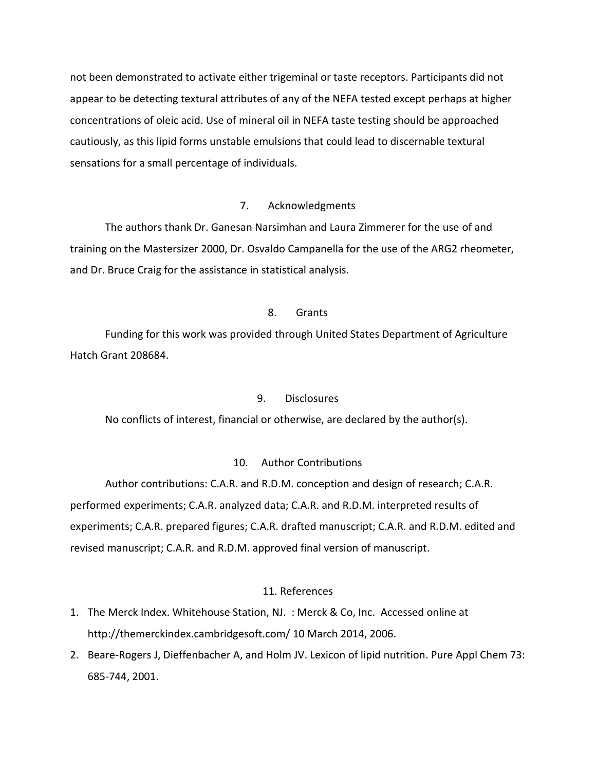not been demonstrated to activate either trigeminal or taste receptors. Participants did not appear to be detecting textural attributes of any of the NEFA tested except perhaps at higher concentrations of oleic acid. Use of mineral oil in NEFA taste testing should be approached cautiously, as this lipid forms unstable emulsions that could lead to discernable textural sensations for a small percentage of individuals.

# 7. Acknowledgments

The authors thank Dr. Ganesan Narsimhan and Laura Zimmerer for the use of and training on the Mastersizer 2000, Dr. Osvaldo Campanella for the use of the ARG2 rheometer, and Dr. Bruce Craig for the assistance in statistical analysis.

# 8. Grants

Funding for this work was provided through United States Department of Agriculture Hatch Grant 208684.

# 9. Disclosures

No conflicts of interest, financial or otherwise, are declared by the author(s).

# 10. Author Contributions

Author contributions: C.A.R. and R.D.M. conception and design of research; C.A.R. performed experiments; C.A.R. analyzed data; C.A.R. and R.D.M. interpreted results of experiments; C.A.R. prepared figures; C.A.R. drafted manuscript; C.A.R. and R.D.M. edited and revised manuscript; C.A.R. and R.D.M. approved final version of manuscript.

# 11. References

- 1. The Merck Index. Whitehouse Station, NJ. : Merck & Co, Inc. Accessed online at http://themerckindex.cambridgesoft.com/ 10 March 2014, 2006.
- 2. Beare-Rogers J, Dieffenbacher A, and Holm JV. Lexicon of lipid nutrition. Pure Appl Chem 73: 685-744, 2001.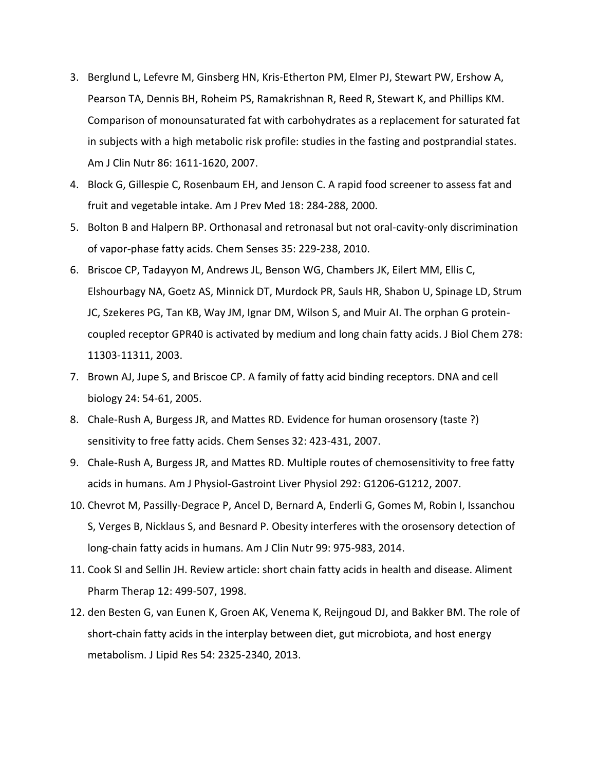- 3. Berglund L, Lefevre M, Ginsberg HN, Kris-Etherton PM, Elmer PJ, Stewart PW, Ershow A, Pearson TA, Dennis BH, Roheim PS, Ramakrishnan R, Reed R, Stewart K, and Phillips KM. Comparison of monounsaturated fat with carbohydrates as a replacement for saturated fat in subjects with a high metabolic risk profile: studies in the fasting and postprandial states. Am J Clin Nutr 86: 1611-1620, 2007.
- 4. Block G, Gillespie C, Rosenbaum EH, and Jenson C. A rapid food screener to assess fat and fruit and vegetable intake. Am J Prev Med 18: 284-288, 2000.
- 5. Bolton B and Halpern BP. Orthonasal and retronasal but not oral-cavity-only discrimination of vapor-phase fatty acids. Chem Senses 35: 229-238, 2010.
- 6. Briscoe CP, Tadayyon M, Andrews JL, Benson WG, Chambers JK, Eilert MM, Ellis C, Elshourbagy NA, Goetz AS, Minnick DT, Murdock PR, Sauls HR, Shabon U, Spinage LD, Strum JC, Szekeres PG, Tan KB, Way JM, Ignar DM, Wilson S, and Muir AI. The orphan G proteincoupled receptor GPR40 is activated by medium and long chain fatty acids. J Biol Chem 278: 11303-11311, 2003.
- 7. Brown AJ, Jupe S, and Briscoe CP. A family of fatty acid binding receptors. DNA and cell biology 24: 54-61, 2005.
- 8. Chale-Rush A, Burgess JR, and Mattes RD. Evidence for human orosensory (taste ?) sensitivity to free fatty acids. Chem Senses 32: 423-431, 2007.
- 9. Chale-Rush A, Burgess JR, and Mattes RD. Multiple routes of chemosensitivity to free fatty acids in humans. Am J Physiol-Gastroint Liver Physiol 292: G1206-G1212, 2007.
- 10. Chevrot M, Passilly-Degrace P, Ancel D, Bernard A, Enderli G, Gomes M, Robin I, Issanchou S, Verges B, Nicklaus S, and Besnard P. Obesity interferes with the orosensory detection of long-chain fatty acids in humans. Am J Clin Nutr 99: 975-983, 2014.
- 11. Cook SI and Sellin JH. Review article: short chain fatty acids in health and disease. Aliment Pharm Therap 12: 499-507, 1998.
- 12. den Besten G, van Eunen K, Groen AK, Venema K, Reijngoud DJ, and Bakker BM. The role of short-chain fatty acids in the interplay between diet, gut microbiota, and host energy metabolism. J Lipid Res 54: 2325-2340, 2013.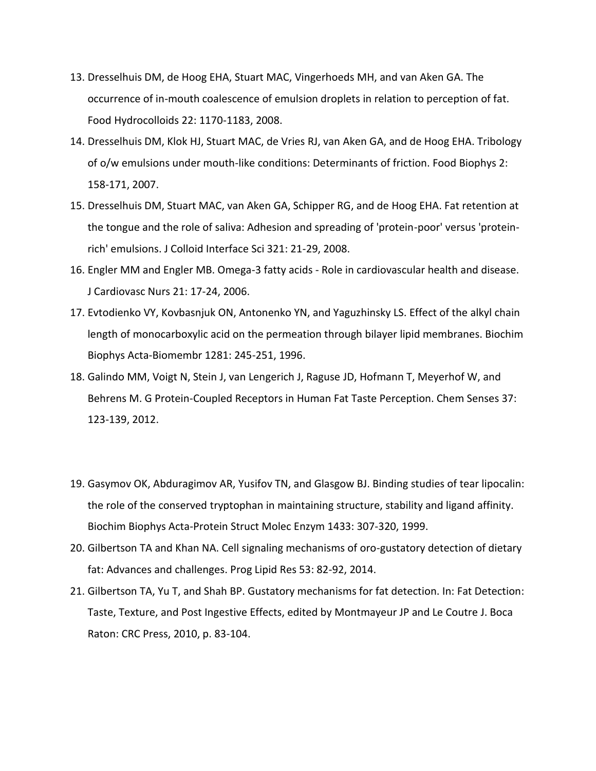- 13. Dresselhuis DM, de Hoog EHA, Stuart MAC, Vingerhoeds MH, and van Aken GA. The occurrence of in-mouth coalescence of emulsion droplets in relation to perception of fat. Food Hydrocolloids 22: 1170-1183, 2008.
- 14. Dresselhuis DM, Klok HJ, Stuart MAC, de Vries RJ, van Aken GA, and de Hoog EHA. Tribology of o/w emulsions under mouth-like conditions: Determinants of friction. Food Biophys 2: 158-171, 2007.
- 15. Dresselhuis DM, Stuart MAC, van Aken GA, Schipper RG, and de Hoog EHA. Fat retention at the tongue and the role of saliva: Adhesion and spreading of 'protein-poor' versus 'proteinrich' emulsions. J Colloid Interface Sci 321: 21-29, 2008.
- 16. Engler MM and Engler MB. Omega-3 fatty acids Role in cardiovascular health and disease. J Cardiovasc Nurs 21: 17-24, 2006.
- 17. Evtodienko VY, Kovbasnjuk ON, Antonenko YN, and Yaguzhinsky LS. Effect of the alkyl chain length of monocarboxylic acid on the permeation through bilayer lipid membranes. Biochim Biophys Acta-Biomembr 1281: 245-251, 1996.
- 18. Galindo MM, Voigt N, Stein J, van Lengerich J, Raguse JD, Hofmann T, Meyerhof W, and Behrens M. G Protein-Coupled Receptors in Human Fat Taste Perception. Chem Senses 37: 123-139, 2012.
- 19. Gasymov OK, Abduragimov AR, Yusifov TN, and Glasgow BJ. Binding studies of tear lipocalin: the role of the conserved tryptophan in maintaining structure, stability and ligand affinity. Biochim Biophys Acta-Protein Struct Molec Enzym 1433: 307-320, 1999.
- 20. Gilbertson TA and Khan NA. Cell signaling mechanisms of oro-gustatory detection of dietary fat: Advances and challenges. Prog Lipid Res 53: 82-92, 2014.
- 21. Gilbertson TA, Yu T, and Shah BP. Gustatory mechanisms for fat detection. In: Fat Detection: Taste, Texture, and Post Ingestive Effects, edited by Montmayeur JP and Le Coutre J. Boca Raton: CRC Press, 2010, p. 83-104.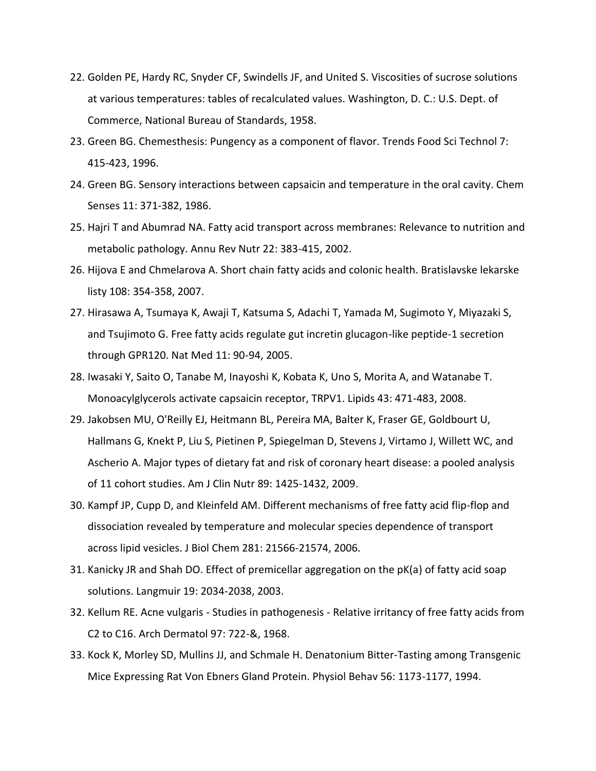- 22. Golden PE, Hardy RC, Snyder CF, Swindells JF, and United S. Viscosities of sucrose solutions at various temperatures: tables of recalculated values. Washington, D. C.: U.S. Dept. of Commerce, National Bureau of Standards, 1958.
- 23. Green BG. Chemesthesis: Pungency as a component of flavor. Trends Food Sci Technol 7: 415-423, 1996.
- 24. Green BG. Sensory interactions between capsaicin and temperature in the oral cavity. Chem Senses 11: 371-382, 1986.
- 25. Hajri T and Abumrad NA. Fatty acid transport across membranes: Relevance to nutrition and metabolic pathology. Annu Rev Nutr 22: 383-415, 2002.
- 26. Hijova E and Chmelarova A. Short chain fatty acids and colonic health. Bratislavske lekarske listy 108: 354-358, 2007.
- 27. Hirasawa A, Tsumaya K, Awaji T, Katsuma S, Adachi T, Yamada M, Sugimoto Y, Miyazaki S, and Tsujimoto G. Free fatty acids regulate gut incretin glucagon-like peptide-1 secretion through GPR120. Nat Med 11: 90-94, 2005.
- 28. Iwasaki Y, Saito O, Tanabe M, Inayoshi K, Kobata K, Uno S, Morita A, and Watanabe T. Monoacylglycerols activate capsaicin receptor, TRPV1. Lipids 43: 471-483, 2008.
- 29. Jakobsen MU, O'Reilly EJ, Heitmann BL, Pereira MA, Balter K, Fraser GE, Goldbourt U, Hallmans G, Knekt P, Liu S, Pietinen P, Spiegelman D, Stevens J, Virtamo J, Willett WC, and Ascherio A. Major types of dietary fat and risk of coronary heart disease: a pooled analysis of 11 cohort studies. Am J Clin Nutr 89: 1425-1432, 2009.
- 30. Kampf JP, Cupp D, and Kleinfeld AM. Different mechanisms of free fatty acid flip-flop and dissociation revealed by temperature and molecular species dependence of transport across lipid vesicles. J Biol Chem 281: 21566-21574, 2006.
- 31. Kanicky JR and Shah DO. Effect of premicellar aggregation on the pK(a) of fatty acid soap solutions. Langmuir 19: 2034-2038, 2003.
- 32. Kellum RE. Acne vulgaris Studies in pathogenesis Relative irritancy of free fatty acids from C2 to C16. Arch Dermatol 97: 722-&, 1968.
- 33. Kock K, Morley SD, Mullins JJ, and Schmale H. Denatonium Bitter-Tasting among Transgenic Mice Expressing Rat Von Ebners Gland Protein. Physiol Behav 56: 1173-1177, 1994.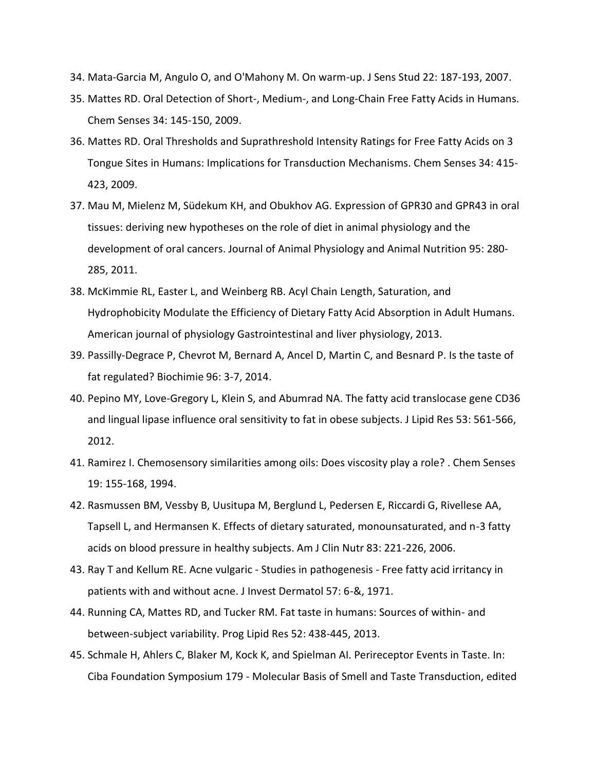- 34. Mata-Garcia M, Angulo O, and O'Mahony M. On warm-up. J Sens Stud 22: 187-193, 2007.
- 35. Mattes RD. Oral Detection of Short-, Medium-, and Long-Chain Free Fatty Acids in Humans. Chem Senses 34: 145-150, 2009.
- 36. Mattes RD. Oral Thresholds and Suprathreshold Intensity Ratings for Free Fatty Acids on 3 Tongue Sites in Humans: Implications for Transduction Mechanisms. Chem Senses 34: 415- 423, 2009.
- 37. Mau M, Mielenz M, Südekum KH, and Obukhov AG. Expression of GPR30 and GPR43 in oral tissues: deriving new hypotheses on the role of diet in animal physiology and the development of oral cancers. Journal of Animal Physiology and Animal Nutrition 95: 280- 285, 2011.
- 38. McKimmie RL, Easter L, and Weinberg RB. Acyl Chain Length, Saturation, and Hydrophobicity Modulate the Efficiency of Dietary Fatty Acid Absorption in Adult Humans. American journal of physiology Gastrointestinal and liver physiology, 2013.
- 39. Passilly-Degrace P, Chevrot M, Bernard A, Ancel D, Martin C, and Besnard P. Is the taste of fat regulated? Biochimie 96: 3-7, 2014.
- 40. Pepino MY, Love-Gregory L, Klein S, and Abumrad NA. The fatty acid translocase gene CD36 and lingual lipase influence oral sensitivity to fat in obese subjects. J Lipid Res 53: 561-566, 2012.
- 41. Ramirez I. Chemosensory similarities among oils: Does viscosity play a role? . Chem Senses 19: 155-168, 1994.
- 42. Rasmussen BM, Vessby B, Uusitupa M, Berglund L, Pedersen E, Riccardi G, Rivellese AA, Tapsell L, and Hermansen K. Effects of dietary saturated, monounsaturated, and n-3 fatty acids on blood pressure in healthy subjects. Am J Clin Nutr 83: 221-226, 2006.
- 43. Ray T and Kellum RE. Acne vulgaric Studies in pathogenesis Free fatty acid irritancy in patients with and without acne. J Invest Dermatol 57: 6-&, 1971.
- 44. Running CA, Mattes RD, and Tucker RM. Fat taste in humans: Sources of within- and between-subject variability. Prog Lipid Res 52: 438-445, 2013.
- 45. Schmale H, Ahlers C, Blaker M, Kock K, and Spielman AI. Perireceptor Events in Taste. In: Ciba Foundation Symposium 179 - Molecular Basis of Smell and Taste Transduction, edited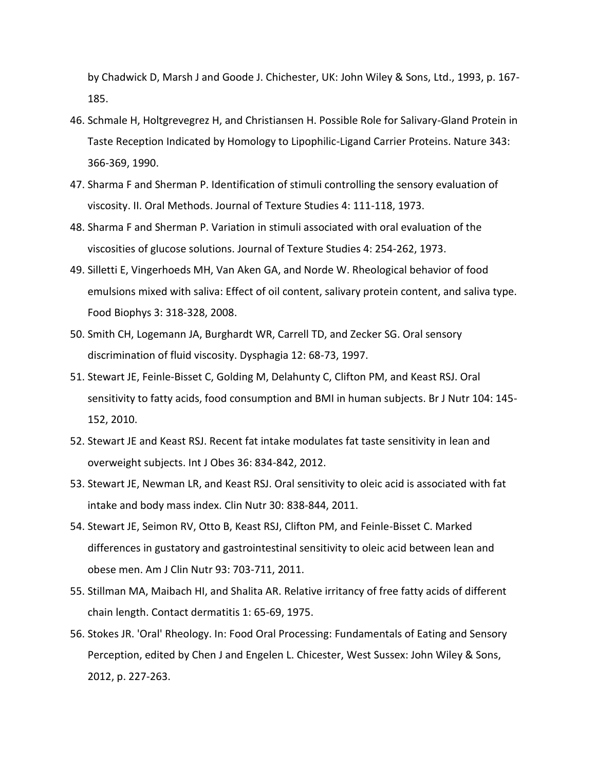by Chadwick D, Marsh J and Goode J. Chichester, UK: John Wiley & Sons, Ltd., 1993, p. 167- 185.

- 46. Schmale H, Holtgrevegrez H, and Christiansen H. Possible Role for Salivary-Gland Protein in Taste Reception Indicated by Homology to Lipophilic-Ligand Carrier Proteins. Nature 343: 366-369, 1990.
- 47. Sharma F and Sherman P. Identification of stimuli controlling the sensory evaluation of viscosity. II. Oral Methods. Journal of Texture Studies 4: 111-118, 1973.
- 48. Sharma F and Sherman P. Variation in stimuli associated with oral evaluation of the viscosities of glucose solutions. Journal of Texture Studies 4: 254-262, 1973.
- 49. Silletti E, Vingerhoeds MH, Van Aken GA, and Norde W. Rheological behavior of food emulsions mixed with saliva: Effect of oil content, salivary protein content, and saliva type. Food Biophys 3: 318-328, 2008.
- 50. Smith CH, Logemann JA, Burghardt WR, Carrell TD, and Zecker SG. Oral sensory discrimination of fluid viscosity. Dysphagia 12: 68-73, 1997.
- 51. Stewart JE, Feinle-Bisset C, Golding M, Delahunty C, Clifton PM, and Keast RSJ. Oral sensitivity to fatty acids, food consumption and BMI in human subjects. Br J Nutr 104: 145- 152, 2010.
- 52. Stewart JE and Keast RSJ. Recent fat intake modulates fat taste sensitivity in lean and overweight subjects. Int J Obes 36: 834-842, 2012.
- 53. Stewart JE, Newman LR, and Keast RSJ. Oral sensitivity to oleic acid is associated with fat intake and body mass index. Clin Nutr 30: 838-844, 2011.
- 54. Stewart JE, Seimon RV, Otto B, Keast RSJ, Clifton PM, and Feinle-Bisset C. Marked differences in gustatory and gastrointestinal sensitivity to oleic acid between lean and obese men. Am J Clin Nutr 93: 703-711, 2011.
- 55. Stillman MA, Maibach HI, and Shalita AR. Relative irritancy of free fatty acids of different chain length. Contact dermatitis 1: 65-69, 1975.
- 56. Stokes JR. 'Oral' Rheology. In: Food Oral Processing: Fundamentals of Eating and Sensory Perception, edited by Chen J and Engelen L. Chicester, West Sussex: John Wiley & Sons, 2012, p. 227-263.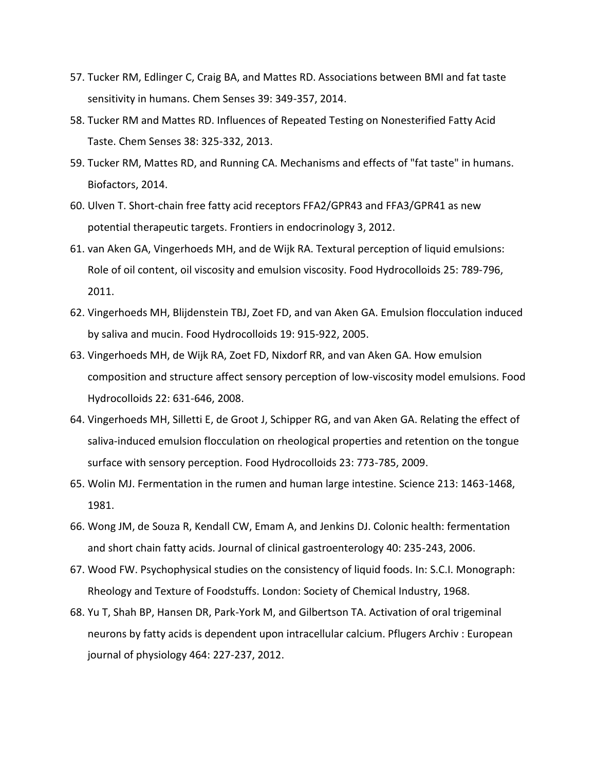- 57. Tucker RM, Edlinger C, Craig BA, and Mattes RD. Associations between BMI and fat taste sensitivity in humans. Chem Senses 39: 349-357, 2014.
- 58. Tucker RM and Mattes RD. Influences of Repeated Testing on Nonesterified Fatty Acid Taste. Chem Senses 38: 325-332, 2013.
- 59. Tucker RM, Mattes RD, and Running CA. Mechanisms and effects of "fat taste" in humans. Biofactors, 2014.
- 60. Ulven T. Short-chain free fatty acid receptors FFA2/GPR43 and FFA3/GPR41 as new potential therapeutic targets. Frontiers in endocrinology 3, 2012.
- 61. van Aken GA, Vingerhoeds MH, and de Wijk RA. Textural perception of liquid emulsions: Role of oil content, oil viscosity and emulsion viscosity. Food Hydrocolloids 25: 789-796, 2011.
- 62. Vingerhoeds MH, Blijdenstein TBJ, Zoet FD, and van Aken GA. Emulsion flocculation induced by saliva and mucin. Food Hydrocolloids 19: 915-922, 2005.
- 63. Vingerhoeds MH, de Wijk RA, Zoet FD, Nixdorf RR, and van Aken GA. How emulsion composition and structure affect sensory perception of low-viscosity model emulsions. Food Hydrocolloids 22: 631-646, 2008.
- 64. Vingerhoeds MH, Silletti E, de Groot J, Schipper RG, and van Aken GA. Relating the effect of saliva-induced emulsion flocculation on rheological properties and retention on the tongue surface with sensory perception. Food Hydrocolloids 23: 773-785, 2009.
- 65. Wolin MJ. Fermentation in the rumen and human large intestine. Science 213: 1463-1468, 1981.
- 66. Wong JM, de Souza R, Kendall CW, Emam A, and Jenkins DJ. Colonic health: fermentation and short chain fatty acids. Journal of clinical gastroenterology 40: 235-243, 2006.
- 67. Wood FW. Psychophysical studies on the consistency of liquid foods. In: S.C.I. Monograph: Rheology and Texture of Foodstuffs. London: Society of Chemical Industry, 1968.
- 68. Yu T, Shah BP, Hansen DR, Park-York M, and Gilbertson TA. Activation of oral trigeminal neurons by fatty acids is dependent upon intracellular calcium. Pflugers Archiv : European journal of physiology 464: 227-237, 2012.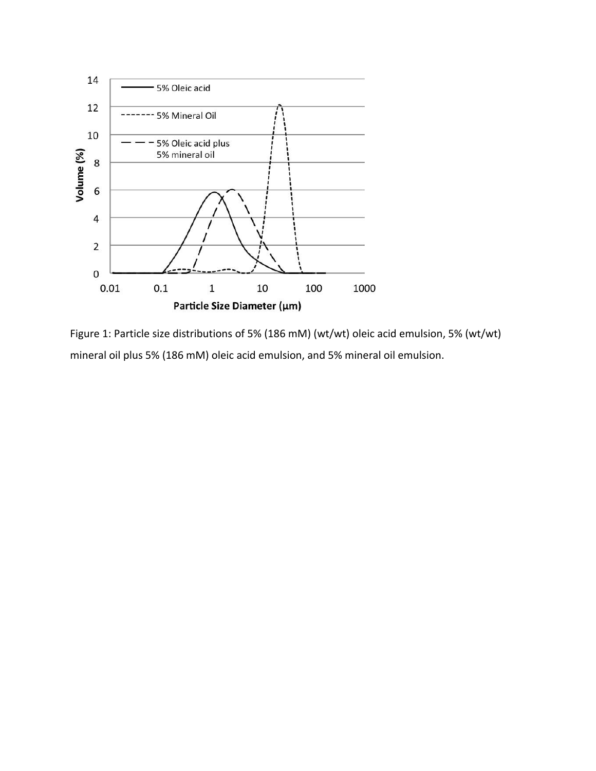

Figure 1: Particle size distributions of 5% (186 mM) (wt/wt) oleic acid emulsion, 5% (wt/wt) mineral oil plus 5% (186 mM) oleic acid emulsion, and 5% mineral oil emulsion.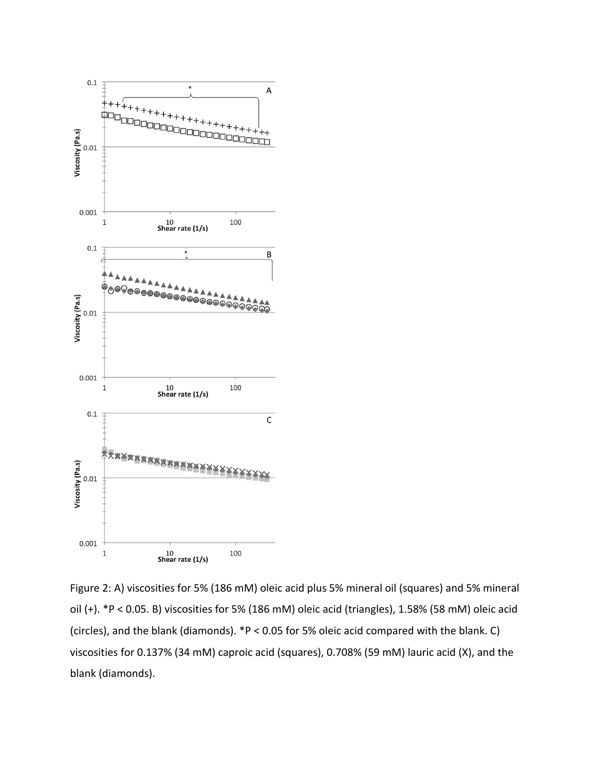

Figure 2: A) viscosities for 5% (186 mM) oleic acid plus 5% mineral oil (squares) and 5% mineral oil (+). \*P < 0.05. B) viscosities for 5% (186 mM) oleic acid (triangles), 1.58% (58 mM) oleic acid (circles), and the blank (diamonds). \*P < 0.05 for 5% oleic acid compared with the blank. C) viscosities for 0.137% (34 mM) caproic acid (squares), 0.708% (59 mM) lauric acid (X), and the blank (diamonds).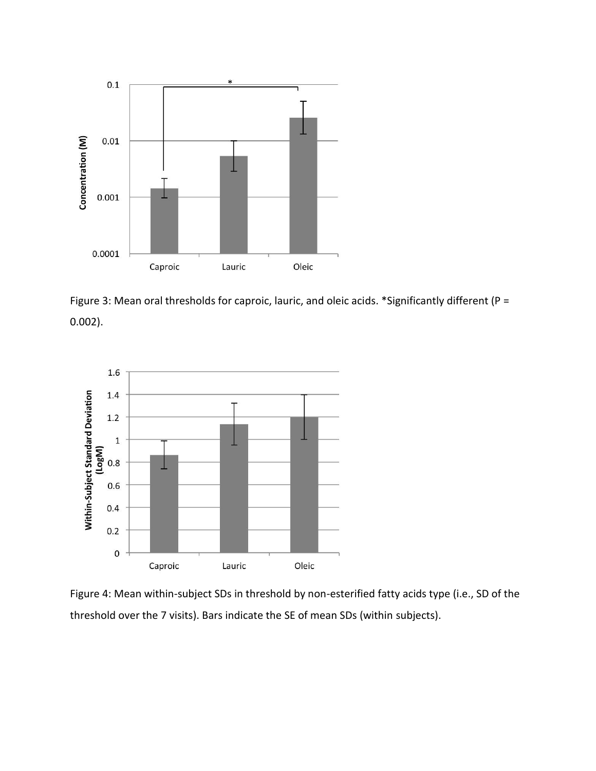

Figure 3: Mean oral thresholds for caproic, lauric, and oleic acids. \*Significantly different (P = 0.002).



Figure 4: Mean within-subject SDs in threshold by non-esterified fatty acids type (i.e., SD of the threshold over the 7 visits). Bars indicate the SE of mean SDs (within subjects).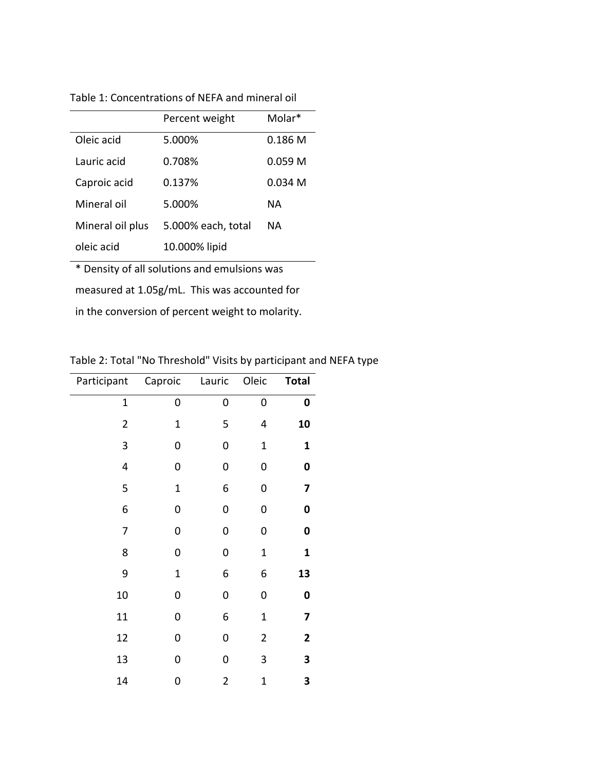Table 1: Concentrations of NEFA and mineral oil

|                                              | Percent weight     | Molar*             |  |
|----------------------------------------------|--------------------|--------------------|--|
| Oleic acid                                   | 5.000%             | 0.186 M            |  |
| Lauric acid                                  | 0.708%             | 0.059 <sub>M</sub> |  |
| Caproic acid                                 | 0.137%             | 0.034M             |  |
| Mineral oil                                  | 5.000%             | ΝA                 |  |
| Mineral oil plus                             | 5.000% each, total | NА                 |  |
| oleic acid                                   | 10.000% lipid      |                    |  |
| * Density of all solutions and emulsions was |                    |                    |  |

measured at 1.05g/mL. This was accounted for

in the conversion of percent weight to molarity.

Table 2: Total "No Threshold" Visits by participant and NEFA type

| <b>Total</b> | Oleic          | Lauric         | Caproic     | Participant    |
|--------------|----------------|----------------|-------------|----------------|
| 0            | 0              | 0              | 0           | $\mathbf 1$    |
| 10           | 4              | 5              | $\mathbf 1$ | $\overline{2}$ |
| 1            | $\mathbf 1$    | 0              | 0           | 3              |
| 0            | 0              | 0              | 0           | 4              |
| 7            | 0              | 6              | $\mathbf 1$ | 5              |
| 0            | 0              | 0              | 0           | 6              |
| 0            | 0              | 0              | 0           | 7              |
| 1            | $\mathbf 1$    | 0              | 0           | 8              |
| 13           | 6              | 6              | $\mathbf 1$ | 9              |
| 0            | 0              | 0              | 0           | 10             |
| 7            | $\mathbf 1$    | 6              | 0           | 11             |
| 2            | $\overline{2}$ | 0              | 0           | 12             |
| 3            | 3              | 0              | 0           | 13             |
| 3            | $\mathbf 1$    | $\overline{2}$ | 0           | 14             |